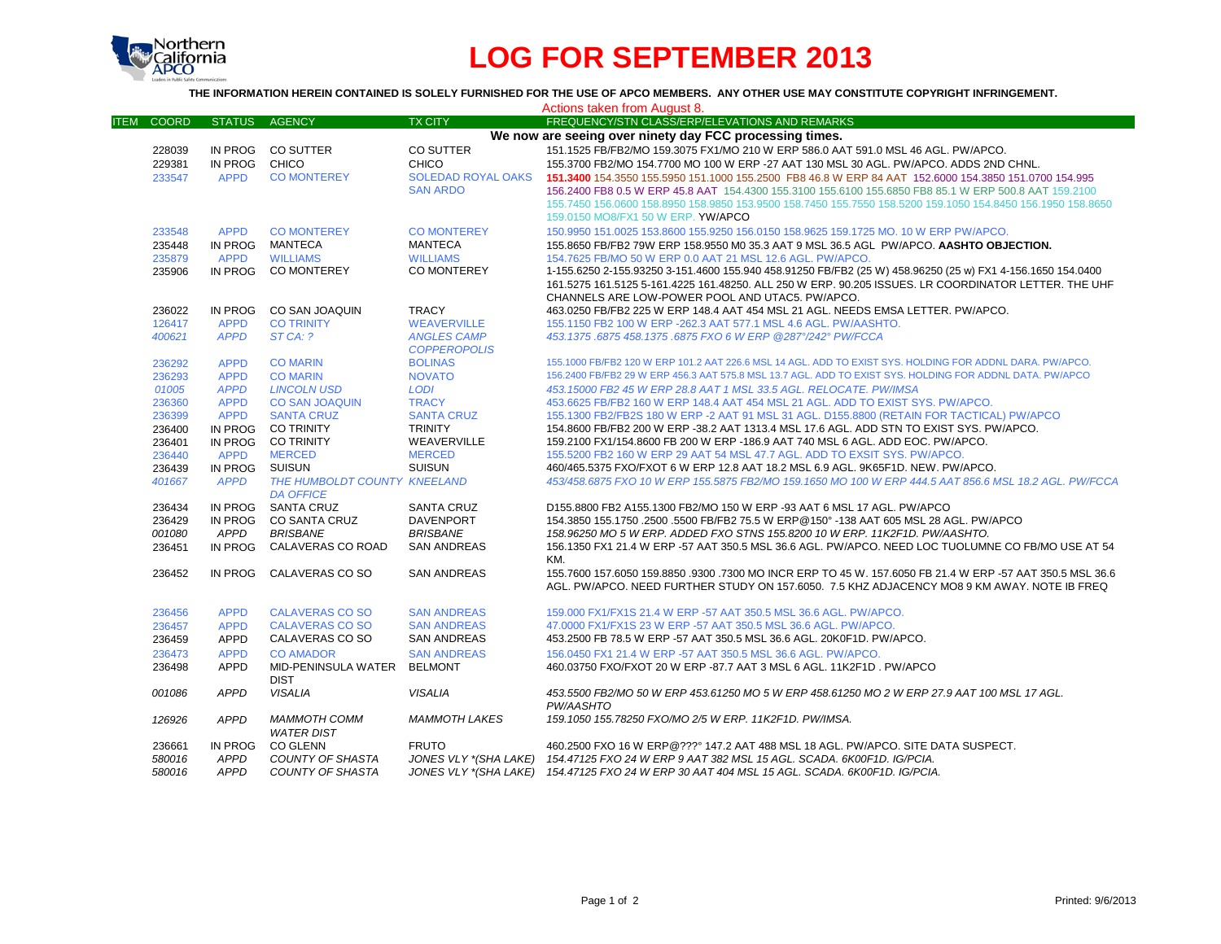

# **LOG FOR SEPTEMBER 2013**

### **THE INFORMATION HEREIN CONTAINED IS SOLELY FURNISHED FOR THE USE OF APCO MEMBERS. ANY OTHER USE MAY CONSTITUTE COPYRIGHT INFRINGEMENT.**

|                             |                |                              |                           | Actions taken from August 8.                                                                                |
|-----------------------------|----------------|------------------------------|---------------------------|-------------------------------------------------------------------------------------------------------------|
| <b>COORD</b><br><b>ITEM</b> | <b>STATUS</b>  | <b>AGENCY</b>                | <b>TX CITY</b>            | FREQUENCY/STN CLASS/ERP/ELEVATIONS AND REMARKS                                                              |
|                             |                |                              |                           | We now are seeing over ninety day FCC processing times.                                                     |
| 228039                      |                | IN PROG CO SUTTER            | <b>CO SUTTER</b>          | 151.1525 FB/FB2/MO 159.3075 FX1/MO 210 W ERP 586.0 AAT 591.0 MSL 46 AGL, PW/APCO.                           |
| 229381                      | IN PROG        | CHICO                        | <b>CHICO</b>              | 155.3700 FB2/MO 154.7700 MO 100 W ERP -27 AAT 130 MSL 30 AGL. PW/APCO. ADDS 2ND CHNL.                       |
| 233547                      | <b>APPD</b>    | <b>CO MONTEREY</b>           | <b>SOLEDAD ROYAL OAKS</b> | 151,3400 154,3550 155,5950 151,1000 155,2500 FB8 46.8 W ERP 84 AAT 152,6000 154,3850 151,0700 154,995       |
|                             |                |                              | <b>SAN ARDO</b>           | 156.2400 FB8 0.5 W ERP 45.8 AAT 154.4300 155.3100 155.6100 155.6850 FB8 85.1 W ERP 500.8 AAT 159.2100       |
|                             |                |                              |                           | 155.7450 156.0600 158.8950 158.9850 153.9500 158.7450 155.7550 158.5200 159.1050 154.8450 156.1950 158.8650 |
|                             |                |                              |                           | 159.0150 MO8/FX1 50 W ERP. YW/APCO                                                                          |
| 233548                      | <b>APPD</b>    | <b>CO MONTEREY</b>           | <b>CO MONTEREY</b>        | 150,9950 151,0025 153,8600 155,9250 156,0150 158,9625 159,1725 MO, 10 W ERP PW/APCO,                        |
| 235448                      | IN PROG        | MANTECA                      | <b>MANTECA</b>            | 155.8650 FB/FB2 79W ERP 158.9550 M0 35.3 AAT 9 MSL 36.5 AGL PW/APCO. AASHTO OBJECTION.                      |
| 235879                      | <b>APPD</b>    | <b>WILLIAMS</b>              | <b>WILLIAMS</b>           | 154.7625 FB/MO 50 W ERP 0.0 AAT 21 MSL 12.6 AGL. PW/APCO.                                                   |
| 235906                      | IN PROG        | <b>CO MONTEREY</b>           | CO MONTEREY               | 1-155.6250 2-155.93250 3-151.4600 155.940 458.91250 FB/FB2 (25 W) 458.96250 (25 w) FX1 4-156.1650 154.0400  |
|                             |                |                              |                           | 161.5275 161.5125 5-161.4225 161.48250. ALL 250 W ERP. 90.205 ISSUES. LR COORDINATOR LETTER. THE UHF        |
|                             |                |                              |                           | CHANNELS ARE LOW-POWER POOL AND UTAC5. PW/APCO.                                                             |
|                             | IN PROG        | <b>CO SAN JOAQUIN</b>        | <b>TRACY</b>              | 463.0250 FB/FB2 225 W ERP 148.4 AAT 454 MSL 21 AGL. NEEDS EMSA LETTER, PW/APCO.                             |
| 236022<br>126417            | <b>APPD</b>    | <b>CO TRINITY</b>            | <b>WEAVERVILLE</b>        | 155.1150 FB2 100 W ERP - 262.3 AAT 577.1 MSL 4.6 AGL. PW/AASHTO.                                            |
| 400621                      | <b>APPD</b>    | STCA: ?                      | <b>ANGLES CAMP</b>        | 453.1375.6875 458.1375.6875 FXO 6 W ERP @287°/242° PW/FCCA                                                  |
|                             |                |                              | <b>COPPEROPOLIS</b>       |                                                                                                             |
| 236292                      | <b>APPD</b>    | <b>CO MARIN</b>              | <b>BOLINAS</b>            | 155.1000 FB/FB2 120 W ERP 101.2 AAT 226.6 MSL 14 AGL, ADD TO EXIST SYS, HOLDING FOR ADDNL DARA, PW/APCO,    |
| 236293                      | <b>APPD</b>    | <b>CO MARIN</b>              | <b>NOVATO</b>             | 156.2400 FB/FB2 29 W ERP 456.3 AAT 575.8 MSL 13.7 AGL. ADD TO EXIST SYS. HOLDING FOR ADDNL DATA. PW/APCO    |
| 01005                       | <b>APPD</b>    | <b>LINCOLN USD</b>           | <b>LODI</b>               | 453.15000 FB2 45 W ERP 28.8 AAT 1 MSL 33.5 AGL. RELOCATE. PW/IMSA                                           |
| 236360                      | <b>APPD</b>    | <b>CO SAN JOAQUIN</b>        | <b>TRACY</b>              | 453.6625 FB/FB2 160 W ERP 148.4 AAT 454 MSL 21 AGL. ADD TO EXIST SYS. PW/APCO.                              |
| 236399                      | <b>APPD</b>    | <b>SANTA CRUZ</b>            | <b>SANTA CRUZ</b>         | 155.1300 FB2/FB2S 180 W ERP -2 AAT 91 MSL 31 AGL. D155.8800 (RETAIN FOR TACTICAL) PW/APCO                   |
| 236400                      | IN PROG        | <b>CO TRINITY</b>            | <b>TRINITY</b>            | 154.8600 FB/FB2 200 W ERP -38.2 AAT 1313.4 MSL 17.6 AGL. ADD STN TO EXIST SYS. PW/APCO.                     |
| 236401                      |                | IN PROG CO TRINITY           | WEAVERVILLE               | 159.2100 FX1/154.8600 FB 200 W ERP -186.9 AAT 740 MSL 6 AGL. ADD EOC. PW/APCO.                              |
| 236440                      | <b>APPD</b>    | <b>MERCED</b>                | <b>MERCED</b>             | 155.5200 FB2 160 W ERP 29 AAT 54 MSL 47.7 AGL. ADD TO EXSIT SYS. PW/APCO.                                   |
| 236439                      | IN PROG SUISUN |                              | <b>SUISUN</b>             | 460/465.5375 FXO/FXOT 6 W ERP 12.8 AAT 18.2 MSL 6.9 AGL, 9K65F1D, NEW, PW/APCO,                             |
| 401667                      | <b>APPD</b>    | THE HUMBOLDT COUNTY KNEELAND |                           | 453/458.6875 FXO 10 W ERP 155.5875 FB2/MO 159.1650 MO 100 W ERP 444.5 AAT 856.6 MSL 18.2 AGL. PW/FCCA       |
|                             |                | <b>DA OFFICE</b>             |                           |                                                                                                             |
| 236434                      |                | IN PROG SANTA CRUZ           | <b>SANTA CRUZ</b>         | D155.8800 FB2 A155.1300 FB2/MO 150 W ERP -93 AAT 6 MSL 17 AGL. PW/APCO                                      |
| 236429                      | IN PROG        | <b>CO SANTA CRUZ</b>         | <b>DAVENPORT</b>          | 154.3850 155.1750 .2500 .5500 FB/FB2 75.5 W ERP@150° -138 AAT 605 MSL 28 AGL, PW/APCO                       |
| 001080                      | APPD           | <b>BRISBANE</b>              | <b>BRISBANE</b>           | 158.96250 MO 5 W ERP. ADDED FXO STNS 155.8200 10 W ERP. 11K2F1D. PW/AASHTO.                                 |
| 236451                      | IN PROG        | CALAVERAS CO ROAD            | <b>SAN ANDREAS</b>        | 156.1350 FX1 21.4 W ERP -57 AAT 350.5 MSL 36.6 AGL, PW/APCO, NEED LOC TUOLUMNE CO FB/MO USE AT 54           |
|                             |                |                              |                           | KM.                                                                                                         |
| 236452                      | IN PROG        | CALAVERAS CO SO              | <b>SAN ANDREAS</b>        | 155.7600 157.6050 159.8850 .9300 .7300 MO INCR ERP TO 45 W. 157.6050 FB 21.4 W ERP -57 AAT 350.5 MSL 36.6   |
|                             |                |                              |                           | AGL. PW/APCO, NEED FURTHER STUDY ON 157,6050. 7.5 KHZ ADJACENCY MO8 9 KM AWAY, NOTE IB FREQ                 |
|                             |                |                              |                           |                                                                                                             |
| 236456                      | <b>APPD</b>    | <b>CALAVERAS CO SO</b>       | <b>SAN ANDREAS</b>        | 159.000 FX1/FX1S 21.4 W ERP -57 AAT 350.5 MSL 36.6 AGL. PW/APCO.                                            |
| 236457                      | <b>APPD</b>    | <b>CALAVERAS CO SO</b>       | <b>SAN ANDREAS</b>        | 47.0000 FX1/FX1S 23 W ERP -57 AAT 350.5 MSL 36.6 AGL. PW/APCO.                                              |
| 236459                      | APPD           | CALAVERAS CO SO              | <b>SAN ANDREAS</b>        | 453.2500 FB 78.5 W ERP -57 AAT 350.5 MSL 36.6 AGL. 20K0F1D. PW/APCO.                                        |
| 236473                      | <b>APPD</b>    | <b>CO AMADOR</b>             | <b>SAN ANDREAS</b>        | 156,0450 FX1 21.4 W ERP -57 AAT 350.5 MSL 36.6 AGL, PW/APCO.                                                |
| 236498                      | <b>APPD</b>    | MID-PENINSULA WATER          | <b>BELMONT</b>            | 460.03750 FXO/FXOT 20 W ERP -87.7 AAT 3 MSL 6 AGL. 11K2F1D . PW/APCO                                        |
|                             |                | <b>DIST</b>                  |                           |                                                                                                             |
| 001086                      | <b>APPD</b>    | <b>VISALIA</b>               | <b>VISALIA</b>            | 453.5500 FB2/MO 50 W ERP 453.61250 MO 5 W ERP 458.61250 MO 2 W ERP 27.9 AAT 100 MSL 17 AGL.                 |
|                             |                |                              |                           | PW/AASHTO                                                                                                   |
| 126926                      | <b>APPD</b>    | <b>MAMMOTH COMM</b>          | <b>MAMMOTH LAKES</b>      | 159.1050 155.78250 FXO/MO 2/5 W ERP. 11K2F1D. PW/IMSA.                                                      |
|                             |                | <b>WATER DIST</b>            |                           |                                                                                                             |
| 236661                      | IN PROG        | <b>CO GLENN</b>              | <b>FRUTO</b>              | 460.2500 FXO 16 W ERP@??? 147.2 AAT 488 MSL 18 AGL. PW/APCO. SITE DATA SUSPECT.                             |
| 580016                      | <b>APPD</b>    | <b>COUNTY OF SHASTA</b>      |                           | JONES VLY *(SHA LAKE) 154.47125 FXO 24 W ERP 9 AAT 382 MSL 15 AGL. SCADA. 6K00F1D. IG/PCIA.                 |
| 580016                      | <b>APPD</b>    | COUNTY OF SHASTA             |                           | JONES VLY *(SHA LAKE) 154.47125 FXO 24 W ERP 30 AAT 404 MSL 15 AGL. SCADA. 6K00F1D. IG/PCIA.                |